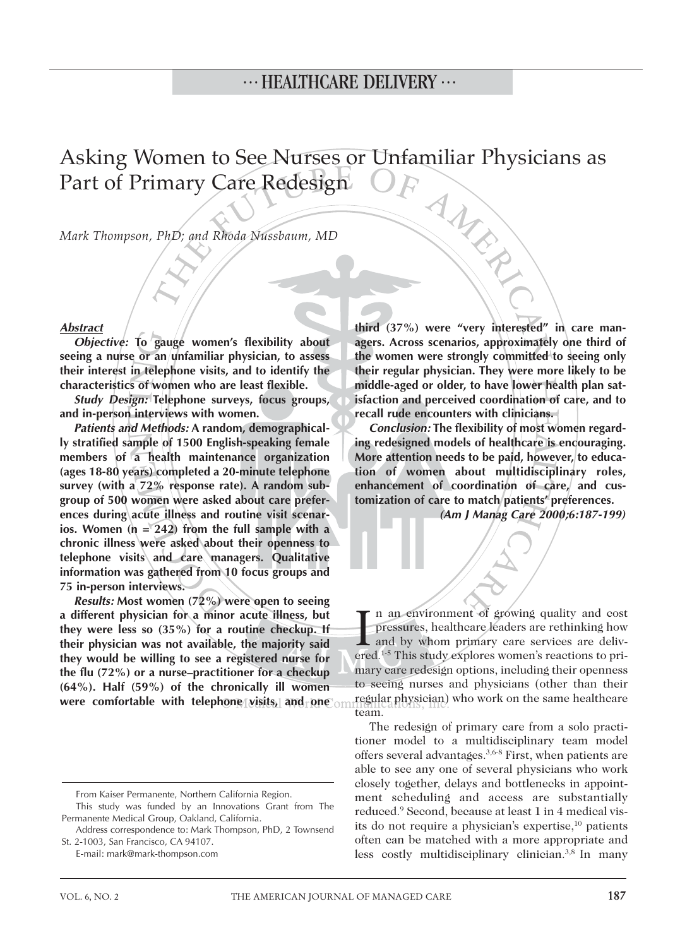Asking Women to See Nurses or Unfamiliar Physicians as Part of Primary Care Redesign MARI

*Mark Thompson, PhD; and Rhoda Nussbaum, MD*

#### *Abstract*

*Objective:* **To gauge women's flexibility about seeing a nurse or an unfamiliar physician, to assess their interest in telephone visits, and to identify the characteristics of women who are least flexible.** 

*Study Design:* **Telephone surveys, focus groups, and in-person interviews with women.** 

*Patients and Methods:* **A random, demographically stratified sample of 1500 English-speaking female members of a health maintenance organization (ages 18-80 years) completed a 20-minute telephone survey (with a 72% response rate). A random subgroup of 500 women were asked about care preferences during acute illness and routine visit scenarios. Women (n = 242) from the full sample with a chronic illness were asked about their openness to telephone visits and care managers. Qualitative information was gathered from 10 focus groups and 75 in-person interviews.**

*Results:* **Most women (72%) were open to seeing a different physician for a minor acute illness, but they were less so (35%) for a routine checkup. If their physician was not available, the majority said they would be willing to see a registered nurse for the flu (72%) or a nurse–practitioner for a checkup (64%). Half (59%) of the chronically ill women were comfortable with telephone visits, and pne** om

**third (37%) were "very interested" in care managers. Across scenarios, approximately one third of the women were strongly committed to seeing only their regular physician. They were more likely to be middle-aged or older, to have lower health plan satisfaction and perceived coordination of care, and to recall rude encounters with clinicians.** 

*Conclusion:* **The flexibility of most women regarding redesigned models of healthcare is encouraging. More attention needs to be paid, however, to education of women about multidisciplinary roles, enhancement of coordination of care, and customization of care to match patients' preferences.**

*(Am J Manag Care 2000;6:187-199)*

I n an environment of growing quality and cost<br>pressures, healthcare leaders are rethinking how<br>and by whom primary care services are deliv-<br>ered.<sup>1-5</sup> This study explores women's reactions to prin an environment of growing quality and cost pressures, healthcare leaders are rethinking how and by whom primary care services are delivmary care redesign options, including their openness to seeing nurses and physicians (other than their regular physician) who work on the same healthcare team.

The redesign of primary care from a solo practitioner model to a multidisciplinary team model offers several advantages.3,6-8 First, when patients are able to see any one of several physicians who work closely together, delays and bottlenecks in appointment scheduling and access are substantially reduced.9 Second, because at least 1 in 4 medical visits do not require a physician's expertise,<sup>10</sup> patients often can be matched with a more appropriate and less costly multidisciplinary clinician.3,8 In many

From Kaiser Permanente, Northern California Region.

This study was funded by an Innovations Grant from The Permanente Medical Group, Oakland, California.

Address correspondence to: Mark Thompson, PhD, 2 Townsend St. 2-1003, San Francisco, CA 94107.

E-mail: mark@mark-thompson.com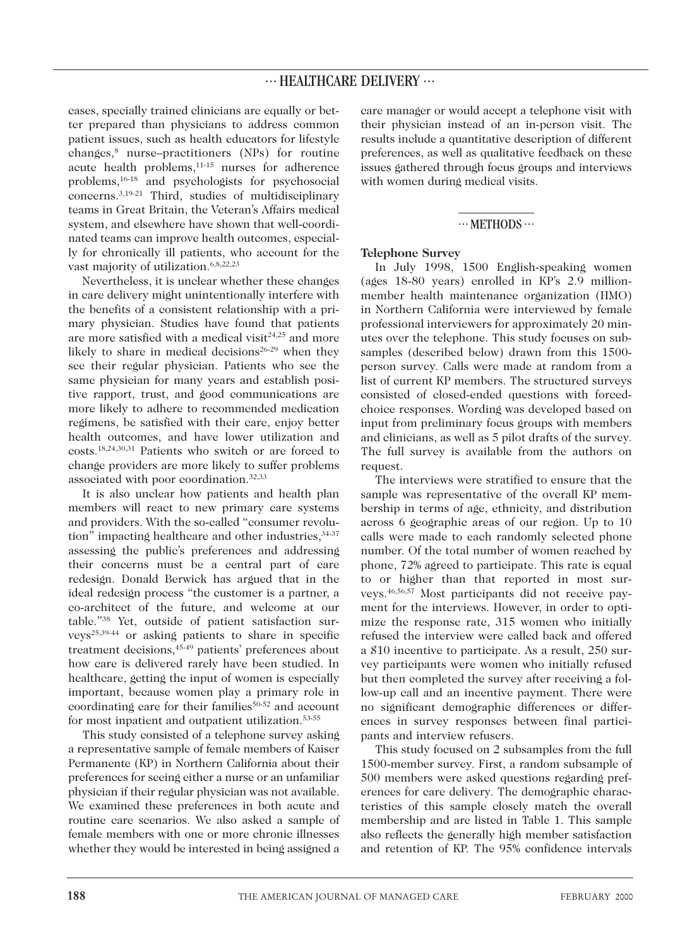cases, specially trained clinicians are equally or better prepared than physicians to address common patient issues, such as health educators for lifestyle changes,8 nurse–practitioners (NPs) for routine acute health problems,11-15 nurses for adherence problems,16-18 and psychologists for psychosocial concerns.3,19-21 Third, studies of multidisciplinary teams in Great Britain, the Veteran's Affairs medical system, and elsewhere have shown that well-coordinated teams can improve health outcomes, especially for chronically ill patients, who account for the vast majority of utilization.6,8,22,23

Nevertheless, it is unclear whether these changes in care delivery might unintentionally interfere with the benefits of a consistent relationship with a primary physician. Studies have found that patients are more satisfied with a medical visit<sup>24,25</sup> and more likely to share in medical decisions<sup>26-29</sup> when they see their regular physician. Patients who see the same physician for many years and establish positive rapport, trust, and good communications are more likely to adhere to recommended medication regimens, be satisfied with their care, enjoy better health outcomes, and have lower utilization and costs.18,24,30,31 Patients who switch or are forced to change providers are more likely to suffer problems associated with poor coordination.32,33

It is also unclear how patients and health plan members will react to new primary care systems and providers. With the so-called "consumer revolution" impacting healthcare and other industries, 34-37 assessing the public's preferences and addressing their concerns must be a central part of care redesign. Donald Berwick has argued that in the ideal redesign process "the customer is a partner, a co-architect of the future, and welcome at our table."38 Yet, outside of patient satisfaction surveys25,39-44 or asking patients to share in specific treatment decisions,45-49 patients' preferences about how care is delivered rarely have been studied. In healthcare, getting the input of women is especially important, because women play a primary role in coordinating care for their families<sup>50-52</sup> and account for most inpatient and outpatient utilization.53-55

This study consisted of a telephone survey asking a representative sample of female members of Kaiser Permanente (KP) in Northern California about their preferences for seeing either a nurse or an unfamiliar physician if their regular physician was not available. We examined these preferences in both acute and routine care scenarios. We also asked a sample of female members with one or more chronic illnesses whether they would be interested in being assigned a care manager or would accept a telephone visit with their physician instead of an in-person visit. The results include a quantitative description of different preferences, as well as qualitative feedback on these issues gathered through focus groups and interviews with women during medical visits.

### $\cdots$  METHODS $\cdots$

#### **Telephone Survey**

In July 1998, 1500 English-speaking women (ages 18-80 years) enrolled in KP's 2.9 millionmember health maintenance organization (HMO) in Northern California were interviewed by female professional interviewers for approximately 20 minutes over the telephone. This study focuses on subsamples (described below) drawn from this 1500 person survey. Calls were made at random from a list of current KP members. The structured surveys consisted of closed-ended questions with forcedchoice responses. Wording was developed based on input from preliminary focus groups with members and clinicians, as well as 5 pilot drafts of the survey. The full survey is available from the authors on request.

The interviews were stratified to ensure that the sample was representative of the overall KP membership in terms of age, ethnicity, and distribution across 6 geographic areas of our region. Up to 10 calls were made to each randomly selected phone number. Of the total number of women reached by phone, 72% agreed to participate. This rate is equal to or higher than that reported in most surveys.46,56,57 Most participants did not receive payment for the interviews. However, in order to optimize the response rate, 315 women who initially refused the interview were called back and offered a \$10 incentive to participate. As a result, 250 survey participants were women who initially refused but then completed the survey after receiving a follow-up call and an incentive payment. There were no significant demographic differences or differences in survey responses between final participants and interview refusers.

This study focused on 2 subsamples from the full 1500-member survey. First, a random subsample of 500 members were asked questions regarding preferences for care delivery. The demographic characteristics of this sample closely match the overall membership and are listed in Table 1. This sample also reflects the generally high member satisfaction and retention of KP. The 95% confidence intervals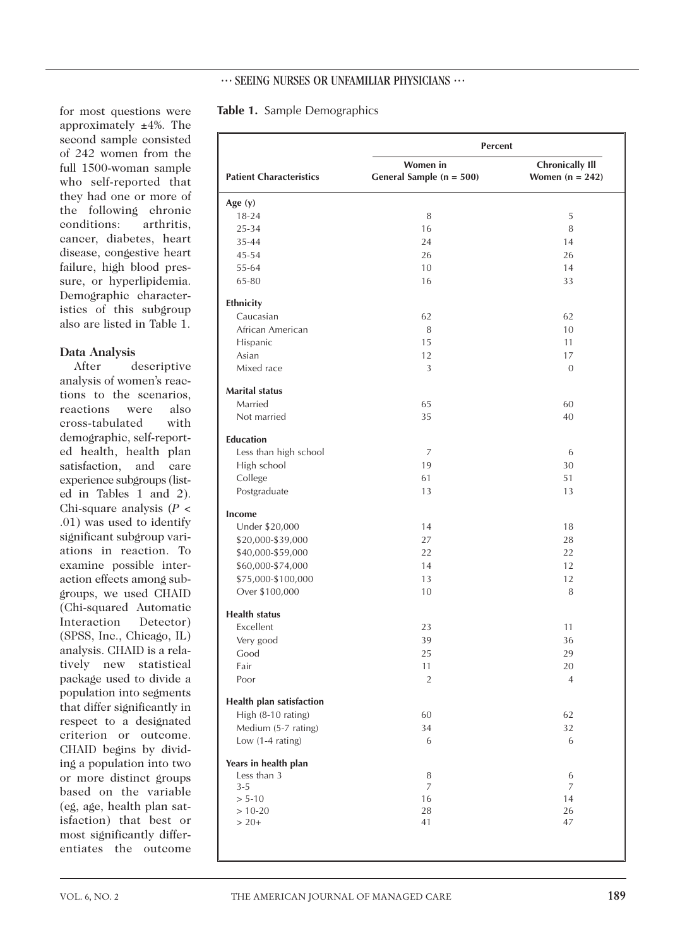### $\cdots$  SEEING NURSES OR UNFAMILIAR PHYSICIANS  $\cdots$

### for most questions were approximately ±4%. The second sample consisted of 242 women from the full 1500-woman sample who self-reported that they had one or more of the following chronic conditions: arthritis, cancer, diabetes, heart disease, congestive heart failure, high blood pressure, or hyperlipidemia. Demographic characteristics of this subgroup also are listed in Table 1.

#### **Data Analysis**

After descriptive analysis of women's reactions to the scenarios, reactions were also cross-tabulated with demographic, self-reported health, health plan satisfaction, and care experience subgroups (listed in Tables 1 and 2). Chi-square analysis (*P* < .01) was used to identify significant subgroup variations in reaction. To examine possible interaction effects among subgroups, we used CHAID (Chi-squared Automatic Interaction Detector) (SPSS, Inc., Chicago, IL) analysis. CHAID is a relatively new statistical package used to divide a population into segments that differ significantly in respect to a designated criterion or outcome. CHAID begins by dividing a population into two or more distinct groups based on the variable (eg, age, health plan satisfaction) that best or most significantly differentiates the outcome

|  |  |  | <b>Table 1.</b> Sample Demographics |  |  |  |  |
|--|--|--|-------------------------------------|--|--|--|--|
|--|--|--|-------------------------------------|--|--|--|--|

|                                | <b>Percent</b>                       |                                             |
|--------------------------------|--------------------------------------|---------------------------------------------|
| <b>Patient Characteristics</b> | Women in<br>General Sample (n = 500) | <b>Chronically Ill</b><br>Women $(n = 242)$ |
| Age $(y)$                      |                                      |                                             |
| $18 - 24$                      | 8                                    | 5                                           |
| 25-34                          | 16                                   | 8                                           |
| 35-44                          | 24                                   | 14                                          |
| 45-54                          | 26                                   | 26                                          |
| 55-64                          | 10                                   | 14                                          |
| 65-80                          | 16                                   | 33                                          |
| Ethnicity                      |                                      |                                             |
| Caucasian                      | 62                                   | 62                                          |
| African American               | 8                                    | 10                                          |
| Hispanic                       | 15                                   | 11                                          |
| Asian                          | 12                                   | 17                                          |
| Mixed race                     | 3                                    | $\mathbf{0}$                                |
| <b>Marital status</b>          |                                      |                                             |
| Married                        | 65                                   | 60                                          |
| Not married                    | 35                                   | 40                                          |
| <b>Education</b>               |                                      |                                             |
| Less than high school          | 7                                    | 6                                           |
| High school                    | 19                                   | 30                                          |
| College                        | 61                                   | 51                                          |
| Postgraduate                   | 13                                   | 13                                          |
| Income                         |                                      |                                             |
| Under \$20,000                 | 14                                   | 18                                          |
| \$20,000-\$39,000              | 27                                   | 28                                          |
| \$40,000-\$59,000              | 22                                   | 22                                          |
| \$60,000-\$74,000              | 14                                   | 12                                          |
| \$75,000-\$100,000             | 13                                   | 12                                          |
| Over \$100,000                 | 10                                   | 8                                           |
| <b>Health status</b>           |                                      |                                             |
| Excellent                      | 23                                   | 11                                          |
| Very good                      | 39                                   | 36                                          |
| Good                           | 25                                   | 29                                          |
| Fair                           | 11                                   | $20\,$                                      |
| Poor                           | $\overline{2}$                       | 4                                           |
| Health plan satisfaction       |                                      |                                             |
| High (8-10 rating)             | 60                                   | 62                                          |
| Medium (5-7 rating)            | 34                                   | 32                                          |
| Low (1-4 rating)               | 6                                    | 6                                           |
| Years in health plan           |                                      |                                             |
| Less than 3                    | 8                                    | 6                                           |
| $3 - 5$                        | 7                                    | 7                                           |
| $> 5-10$                       | 16                                   | 14                                          |
| $> 10-20$                      | 28                                   | 26                                          |
| $> 20+$                        | 41                                   | 47                                          |
|                                |                                      |                                             |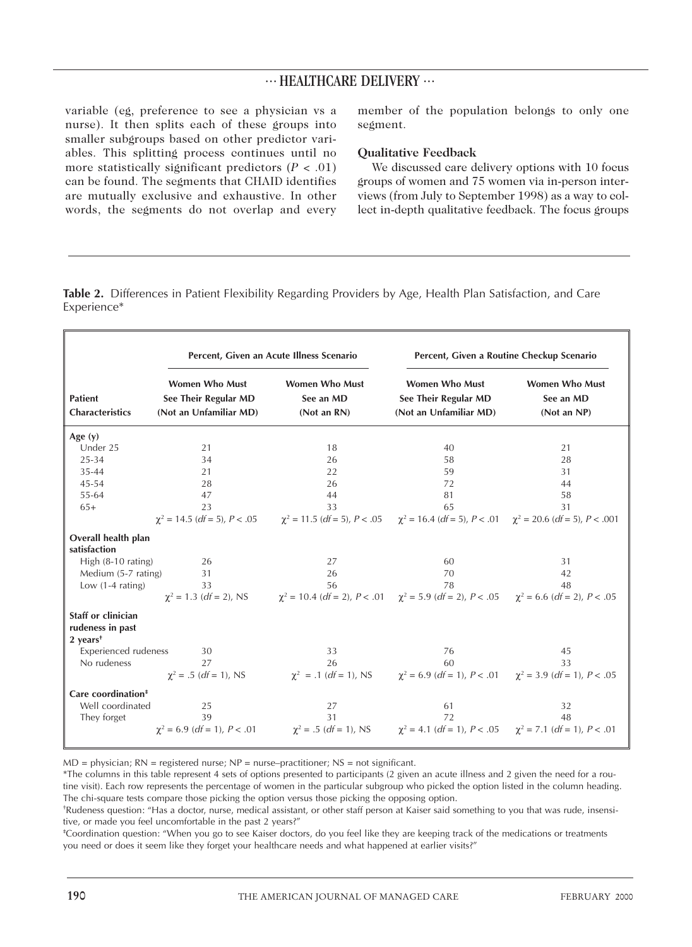variable (eg, preference to see a physician vs a nurse). It then splits each of these groups into smaller subgroups based on other predictor variables. This splitting process continues until no more statistically significant predictors  $(P < .01)$ can be found. The segments that CHAID identifies are mutually exclusive and exhaustive. In other words, the segments do not overlap and every member of the population belongs to only one segment.

#### **Qualitative Feedback**

We discussed care delivery options with 10 focus groups of women and 75 women via in-person interviews (from July to September 1998) as a way to collect in-depth qualitative feedback. The focus groups

**Table 2.** Differences in Patient Flexibility Regarding Providers by Age, Health Plan Satisfaction, and Care Experience\*

|                                                                               | Percent, Given an Acute Illness Scenario                                |                                                                                                                                          | Percent, Given a Routine Checkup Scenario                               |                                                   |  |
|-------------------------------------------------------------------------------|-------------------------------------------------------------------------|------------------------------------------------------------------------------------------------------------------------------------------|-------------------------------------------------------------------------|---------------------------------------------------|--|
| <b>Patient</b><br><b>Characteristics</b>                                      | <b>Women Who Must</b><br>See Their Regular MD<br>(Not an Unfamiliar MD) | <b>Women Who Must</b><br>See an MD<br>(Not an RN)                                                                                        | <b>Women Who Must</b><br>See Their Regular MD<br>(Not an Unfamiliar MD) | <b>Women Who Must</b><br>See an MD<br>(Not an NP) |  |
| Age $(y)$                                                                     |                                                                         |                                                                                                                                          |                                                                         |                                                   |  |
| Under 25                                                                      | 21                                                                      | 18                                                                                                                                       | 40                                                                      | 21                                                |  |
| 25-34                                                                         | 34                                                                      | 26                                                                                                                                       | 58                                                                      | 28                                                |  |
| 35-44                                                                         | 21                                                                      | 22                                                                                                                                       | 59                                                                      | 31                                                |  |
| 45-54                                                                         | 28                                                                      | 26                                                                                                                                       | 72                                                                      | 44                                                |  |
| 55-64                                                                         | 47                                                                      | 44                                                                                                                                       | 81                                                                      | 58                                                |  |
| $65+$                                                                         | 23                                                                      | 33                                                                                                                                       | 65                                                                      | 31                                                |  |
|                                                                               |                                                                         | $\chi^2$ = 14.5 (df = 5), P < .05 $\chi^2$ = 11.5 (df = 5), P < .05 $\chi^2$ = 16.4 (df = 5), P < .01 $\chi^2$ = 20.6 (df = 5), P < .001 |                                                                         |                                                   |  |
| Overall health plan<br>satisfaction                                           |                                                                         |                                                                                                                                          |                                                                         |                                                   |  |
| High (8-10 rating)                                                            | 26                                                                      | 27                                                                                                                                       | 60                                                                      | 31                                                |  |
| Medium (5-7 rating)                                                           | 31                                                                      | 26                                                                                                                                       | 70                                                                      | 42                                                |  |
| Low $(1-4$ rating)                                                            | 33                                                                      | 56                                                                                                                                       | 78                                                                      | 48                                                |  |
|                                                                               |                                                                         | $\chi^2 = 1.3$ (df = 2), NS $\chi^2 = 10.4$ (df = 2), P < .01 $\chi^2 = 5.9$ (df = 2), P < .05 $\chi^2 = 6.6$ (df = 2), P < .05          |                                                                         |                                                   |  |
| Staff or clinician<br>rudeness in past<br>$2$ years <sup><math>†</math></sup> |                                                                         |                                                                                                                                          |                                                                         |                                                   |  |
| <b>Experienced rudeness</b>                                                   | 30                                                                      | 33                                                                                                                                       | 76                                                                      | 45                                                |  |
| No rudeness                                                                   | 27                                                                      | 26                                                                                                                                       | 60                                                                      | 33                                                |  |
|                                                                               |                                                                         | $\chi^2 = .5$ (df = 1), NS $\chi^2 = .1$ (df = 1), NS $\chi^2 = 6.9$ (df = 1), P < .01 $\chi^2 = 3.9$ (df = 1), P < .05                  |                                                                         |                                                   |  |
| Care coordination <sup>#</sup>                                                |                                                                         |                                                                                                                                          |                                                                         |                                                   |  |
| Well coordinated                                                              | 25                                                                      | 27                                                                                                                                       | 61                                                                      | 32                                                |  |
| They forget                                                                   | 39                                                                      | 31                                                                                                                                       | 72                                                                      | 48                                                |  |
|                                                                               |                                                                         | $\chi^2 = 6.9$ (df = 1), P < .01 $\chi^2 = .5$ (df = 1), NS $\chi^2 = 4.1$ (df = 1), P < .05 $\chi^2 = 7.1$ (df = 1), P < .01            |                                                                         |                                                   |  |

 $MD = physical; RN = registered nurse; NP = nurse-practioner; NS = not significant.$ 

\*The columns in this table represent 4 sets of options presented to participants (2 given an acute illness and 2 given the need for a routine visit). Each row represents the percentage of women in the particular subgroup who picked the option listed in the column heading. The chi-square tests compare those picking the option versus those picking the opposing option.

† Rudeness question: "Has a doctor, nurse, medical assistant, or other staff person at Kaiser said something to you that was rude, insensitive, or made you feel uncomfortable in the past 2 years?"

‡ Coordination question: "When you go to see Kaiser doctors, do you feel like they are keeping track of the medications or treatments you need or does it seem like they forget your healthcare needs and what happened at earlier visits?"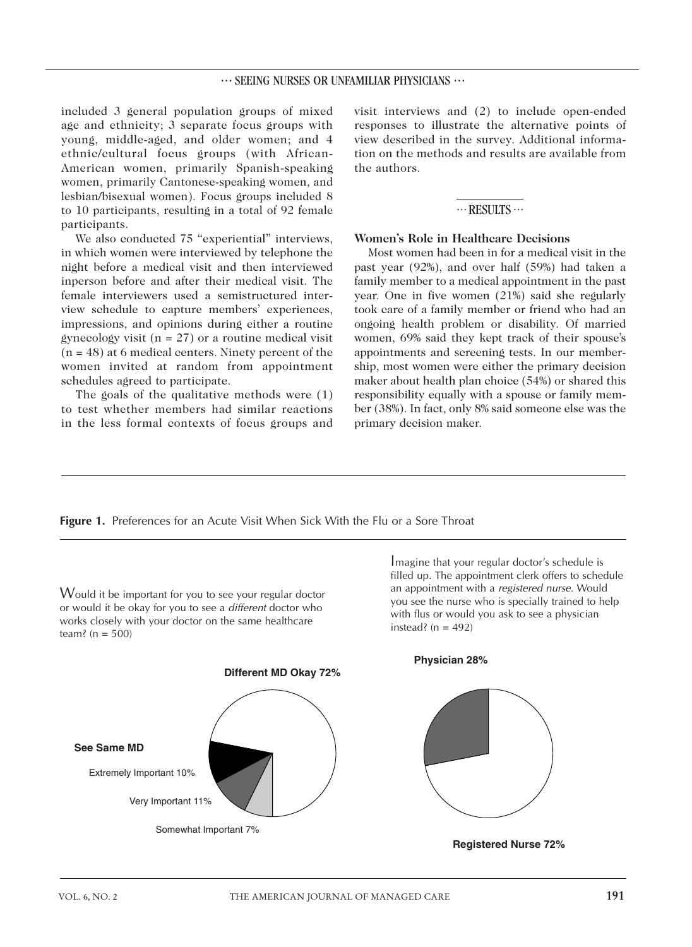## $\cdots$  SEEING NURSES OR UNFAMILIAR PHYSICIANS  $\cdots$

included 3 general population groups of mixed age and ethnicity; 3 separate focus groups with young, middle-aged, and older women; and 4 ethnic/cultural focus groups (with African-American women, primarily Spanish-speaking women, primarily Cantonese-speaking women, and lesbian/bisexual women). Focus groups included 8 to 10 participants, resulting in a total of 92 female participants.

We also conducted 75 "experiential" interviews, in which women were interviewed by telephone the night before a medical visit and then interviewed inperson before and after their medical visit. The female interviewers used a semistructured interview schedule to capture members' experiences, impressions, and opinions during either a routine gynecology visit ( $n = 27$ ) or a routine medical visit  $(n = 48)$  at 6 medical centers. Ninety percent of the women invited at random from appointment schedules agreed to participate.

The goals of the qualitative methods were (1) to test whether members had similar reactions in the less formal contexts of focus groups and visit interviews and (2) to include open-ended responses to illustrate the alternative points of view described in the survey. Additional information on the methods and results are available from the authors.

#### $\cdots$  RESULTS $\cdots$

### **Women's Role in Healthcare Decisions**

Most women had been in for a medical visit in the past year (92%), and over half (59%) had taken a family member to a medical appointment in the past year. One in five women (21%) said she regularly took care of a family member or friend who had an ongoing health problem or disability. Of married women, 69% said they kept track of their spouse's appointments and screening tests. In our membership, most women were either the primary decision maker about health plan choice (54%) or shared this responsibility equally with a spouse or family member (38%). In fact, only 8% said someone else was the primary decision maker.

**Figure 1.** Preferences for an Acute Visit When Sick With the Flu or a Sore Throat

Would it be important for you to see your regular doctor or would it be okay for you to see a *different* doctor who works closely with your doctor on the same healthcare team? ( $n = 500$ )

Imagine that your regular doctor's schedule is filled up. The appointment clerk offers to schedule an appointment with a *registered nurse.* Would you see the nurse who is specially trained to help with flus or would you ask to see a physician instead? ( $n = 492$ )



**Physician 28%**



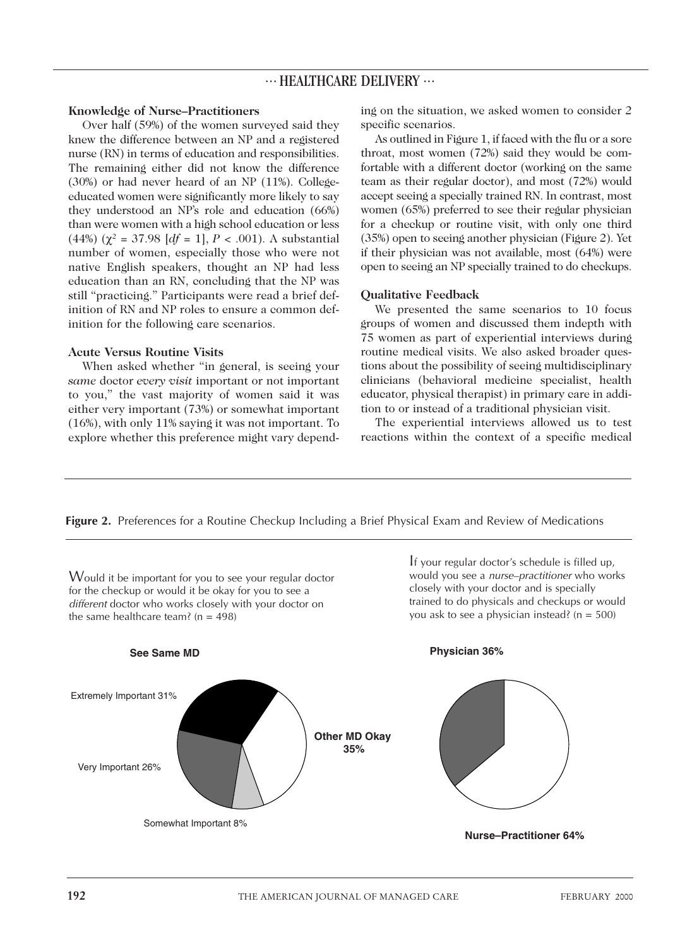#### **Knowledge of Nurse–Practitioners**

Over half (59%) of the women surveyed said they knew the difference between an NP and a registered nurse (RN) in terms of education and responsibilities. The remaining either did not know the difference (30%) or had never heard of an NP (11%). Collegeeducated women were significantly more likely to say they understood an NP's role and education (66%) than were women with a high school education or less (44%) ( $\chi^2$  = 37.98 [*df* = 1], *P* < .001). A substantial number of women, especially those who were not native English speakers, thought an NP had less education than an RN, concluding that the NP was still "practicing." Participants were read a brief definition of RN and NP roles to ensure a common definition for the following care scenarios.

#### **Acute Versus Routine Visits**

When asked whether "in general, is seeing your *same* doctor *every visit* important or not important to you," the vast majority of women said it was either very important (73%) or somewhat important (16%), with only 11% saying it was not important. To explore whether this preference might vary depend-

ing on the situation, we asked women to consider 2 specific scenarios.

As outlined in Figure 1, if faced with the flu or a sore throat, most women (72%) said they would be comfortable with a different doctor (working on the same team as their regular doctor), and most (72%) would accept seeing a specially trained RN. In contrast, most women (65%) preferred to see their regular physician for a checkup or routine visit, with only one third (35%) open to seeing another physician (Figure 2). Yet if their physician was not available, most (64%) were open to seeing an NP specially trained to do checkups.

#### **Qualitative Feedback**

We presented the same scenarios to 10 focus groups of women and discussed them indepth with 75 women as part of experiential interviews during routine medical visits. We also asked broader questions about the possibility of seeing multidisciplinary clinicians (behavioral medicine specialist, health educator, physical therapist) in primary care in addition to or instead of a traditional physician visit.

The experiential interviews allowed us to test reactions within the context of a specific medical

**Figure 2.** Preferences for a Routine Checkup Including a Brief Physical Exam and Review of Medications

Would it be important for you to see your regular doctor for the checkup or would it be okay for you to see a *different* doctor who works closely with your doctor on the same healthcare team? ( $n = 498$ )

If your regular doctor's schedule is filled up, would you see a *nurse–practitioner* who works closely with your doctor and is specially trained to do physicals and checkups or would you ask to see a physician instead? (n = 500)

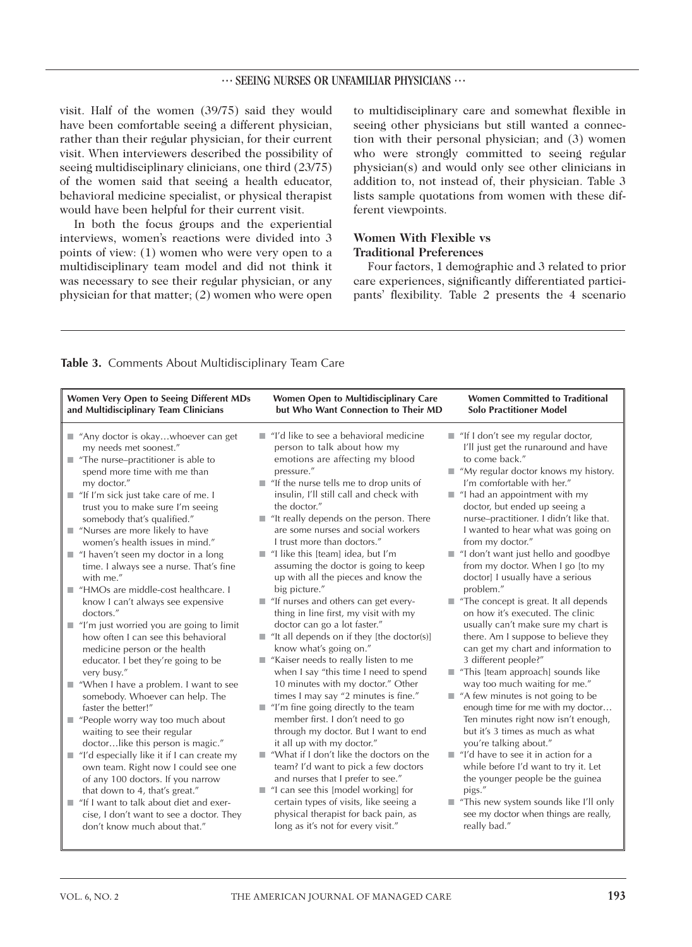#### ... SEEING NURSES OR UNFAMILIAR PHYSICIANS ...

visit. Half of the women (39/75) said they would have been comfortable seeing a different physician, rather than their regular physician, for their current visit. When interviewers described the possibility of seeing multidisciplinary clinicians, one third (23/75) of the women said that seeing a health educator, behavioral medicine specialist, or physical therapist would have been helpful for their current visit.

In both the focus groups and the experiential interviews, women's reactions were divided into 3 points of view: (1) women who were very open to a multidisciplinary team model and did not think it was necessary to see their regular physician, or any physician for that matter; (2) women who were open to multidisciplinary care and somewhat flexible in seeing other physicians but still wanted a connection with their personal physician; and (3) women who were strongly committed to seeing regular physician(s) and would only see other clinicians in addition to, not instead of, their physician. Table 3 lists sample quotations from women with these different viewpoints.

## **Women With Flexible vs Traditional Preferences**

Four factors, 1 demographic and 3 related to prior care experiences, significantly differentiated participants' flexibility. Table 2 presents the 4 scenario

| Table 3. Comments About Multidisciplinary Team Care |  |
|-----------------------------------------------------|--|
|                                                     |  |

| Women Very Open to Seeing Different MDs<br>and Multidisciplinary Team Clinicians                                                                                                                                                                                                                                                                                                                                                                                                                                                                                                                                                                                                                                                                                                                                                                                                                                                                                                                                                                                                                                                                                                                                                                                       | <b>Women Open to Multidisciplinary Care</b><br>but Who Want Connection to Their MD                                                                                                                                                                                                                                                                                                                                                                                                                                                                                                                                                                                                                                                                                                                                                                                                                                                                                                                                                                                                                                                                                                                                                                                                                                                                                 | <b>Women Committed to Traditional</b><br><b>Solo Practitioner Model</b>                                                                                                                                                                                                                                                                                                                                                                                                                                                                                                                                                                                                                                                                                                                                                                                                                                                                                                                                                                                                                                                                                                                                                                 |  |
|------------------------------------------------------------------------------------------------------------------------------------------------------------------------------------------------------------------------------------------------------------------------------------------------------------------------------------------------------------------------------------------------------------------------------------------------------------------------------------------------------------------------------------------------------------------------------------------------------------------------------------------------------------------------------------------------------------------------------------------------------------------------------------------------------------------------------------------------------------------------------------------------------------------------------------------------------------------------------------------------------------------------------------------------------------------------------------------------------------------------------------------------------------------------------------------------------------------------------------------------------------------------|--------------------------------------------------------------------------------------------------------------------------------------------------------------------------------------------------------------------------------------------------------------------------------------------------------------------------------------------------------------------------------------------------------------------------------------------------------------------------------------------------------------------------------------------------------------------------------------------------------------------------------------------------------------------------------------------------------------------------------------------------------------------------------------------------------------------------------------------------------------------------------------------------------------------------------------------------------------------------------------------------------------------------------------------------------------------------------------------------------------------------------------------------------------------------------------------------------------------------------------------------------------------------------------------------------------------------------------------------------------------|-----------------------------------------------------------------------------------------------------------------------------------------------------------------------------------------------------------------------------------------------------------------------------------------------------------------------------------------------------------------------------------------------------------------------------------------------------------------------------------------------------------------------------------------------------------------------------------------------------------------------------------------------------------------------------------------------------------------------------------------------------------------------------------------------------------------------------------------------------------------------------------------------------------------------------------------------------------------------------------------------------------------------------------------------------------------------------------------------------------------------------------------------------------------------------------------------------------------------------------------|--|
| Any doctor is okaywhoever can get<br>my needs met soonest."<br>$\blacksquare$ "The nurse-practitioner is able to<br>spend more time with me than<br>my doctor."<br>$\blacksquare$ "If I'm sick just take care of me. I<br>trust you to make sure I'm seeing<br>somebody that's qualified."<br>■ "Nurses are more likely to have<br>women's health issues in mind."<br>$\blacksquare$ "I haven't seen my doctor in a long<br>time. I always see a nurse. That's fine<br>with me."<br>■ "HMOs are middle-cost healthcare. I<br>know I can't always see expensive<br>doctors."<br>■ "I'm just worried you are going to limit<br>how often I can see this behavioral<br>medicine person or the health<br>educator. I bet they're going to be<br>very busy."<br>■ "When I have a problem. I want to see<br>somebody. Whoever can help. The<br>faster the better!"<br>People worry way too much about<br>waiting to see their regular<br>doctorlike this person is magic."<br>$\blacksquare$ "I'd especially like it if I can create my<br>own team. Right now I could see one<br>of any 100 doctors. If you narrow<br>that down to 4, that's great."<br>"If I want to talk about diet and exer-<br>cise, I don't want to see a doctor. They<br>don't know much about that." | "I'd like to see a behavioral medicine<br>person to talk about how my<br>emotions are affecting my blood<br>pressure."<br>"If the nurse tells me to drop units of<br>insulin, I'll still call and check with<br>the doctor."<br>$\blacksquare$ "It really depends on the person. There<br>are some nurses and social workers<br>I trust more than doctors."<br>$\blacksquare$ "I like this [team] idea, but I'm<br>assuming the doctor is going to keep<br>up with all the pieces and know the<br>big picture."<br>$\blacksquare$ "If nurses and others can get every-<br>thing in line first, my visit with my<br>doctor can go a lot faster."<br>$\blacksquare$ "It all depends on if they [the doctor(s)]<br>know what's going on."<br>Kaiser needs to really listen to me<br>when I say "this time I need to spend<br>10 minutes with my doctor." Other<br>times I may say "2 minutes is fine."<br>"I'm fine going directly to the team<br>member first. I don't need to go<br>through my doctor. But I want to end<br>it all up with my doctor."<br>"What if I don't like the doctors on the<br>m.<br>team? I'd want to pick a few doctors<br>and nurses that I prefer to see."<br>$\blacksquare$ "I can see this [model working] for<br>certain types of visits, like seeing a<br>physical therapist for back pain, as<br>long as it's not for every visit." | "If I don't see my regular doctor,<br>I'll just get the runaround and have<br>to come back."<br>"My regular doctor knows my history.<br>I'm comfortable with her."<br>$\blacksquare$ "I had an appointment with my<br>doctor, but ended up seeing a<br>nurse-practitioner. I didn't like that.<br>I wanted to hear what was going on<br>from my doctor."<br>■ "I don't want just hello and goodbye<br>from my doctor. When I go [to my<br>doctor] I usually have a serious<br>problem."<br>$\blacksquare$ "The concept is great. It all depends<br>on how it's executed. The clinic<br>usually can't make sure my chart is<br>there. Am I suppose to believe they<br>can get my chart and information to<br>3 different people?"<br>This [team approach] sounds like<br>way too much waiting for me."<br>$\blacksquare$ "A few minutes is not going to be<br>enough time for me with my doctor<br>Ten minutes right now isn't enough,<br>but it's 3 times as much as what<br>you're talking about."<br>"I'd have to see it in action for a<br>ш<br>while before I'd want to try it. Let<br>the younger people be the guinea<br>pigs."<br>This new system sounds like I'll only<br>see my doctor when things are really,<br>really bad." |  |
|                                                                                                                                                                                                                                                                                                                                                                                                                                                                                                                                                                                                                                                                                                                                                                                                                                                                                                                                                                                                                                                                                                                                                                                                                                                                        |                                                                                                                                                                                                                                                                                                                                                                                                                                                                                                                                                                                                                                                                                                                                                                                                                                                                                                                                                                                                                                                                                                                                                                                                                                                                                                                                                                    |                                                                                                                                                                                                                                                                                                                                                                                                                                                                                                                                                                                                                                                                                                                                                                                                                                                                                                                                                                                                                                                                                                                                                                                                                                         |  |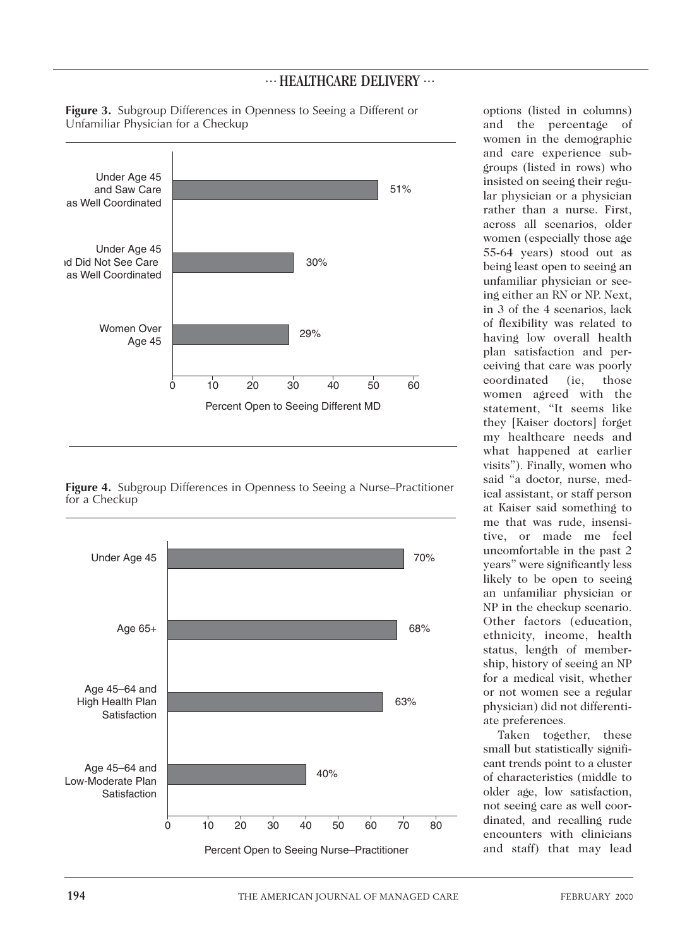

**Figure 3.** Subgroup Differences in Openness to Seeing a Different or Unfamiliar Physician for a Checkup

**Figure 4.** Subgroup Differences in Openness to Seeing a Nurse–Practitioner for a Checkup



and the percentage of women in the demographic and care experience subgroups (listed in rows) who insisted on seeing their regular physician or a physician rather than a nurse. First, across all scenarios, older women (especially those age 55-64 years) stood out as being least open to seeing an unfamiliar physician or seeing either an RN or NP. Next, in 3 of the 4 scenarios, lack of flexibility was related to having low overall health plan satisfaction and perceiving that care was poorly coordinated (ie, those women agreed with the statement, "It seems like they [Kaiser doctors] forget my healthcare needs and what happened at earlier visits"). Finally, women who said "a doctor, nurse, medical assistant, or staff person at Kaiser said something to me that was rude, insensitive, or made me feel uncomfortable in the past 2 years" were significantly less likely to be open to seeing an unfamiliar physician or NP in the checkup scenario. Other factors (education, ethnicity, income, health status, length of membership, history of seeing an NP for a medical visit, whether or not women see a regular physician) did not differentiate preferences.

options (listed in columns)

Taken together, these small but statistically significant trends point to a cluster of characteristics (middle to older age, low satisfaction, not seeing care as well coordinated, and recalling rude encounters with clinicians and staff) that may lead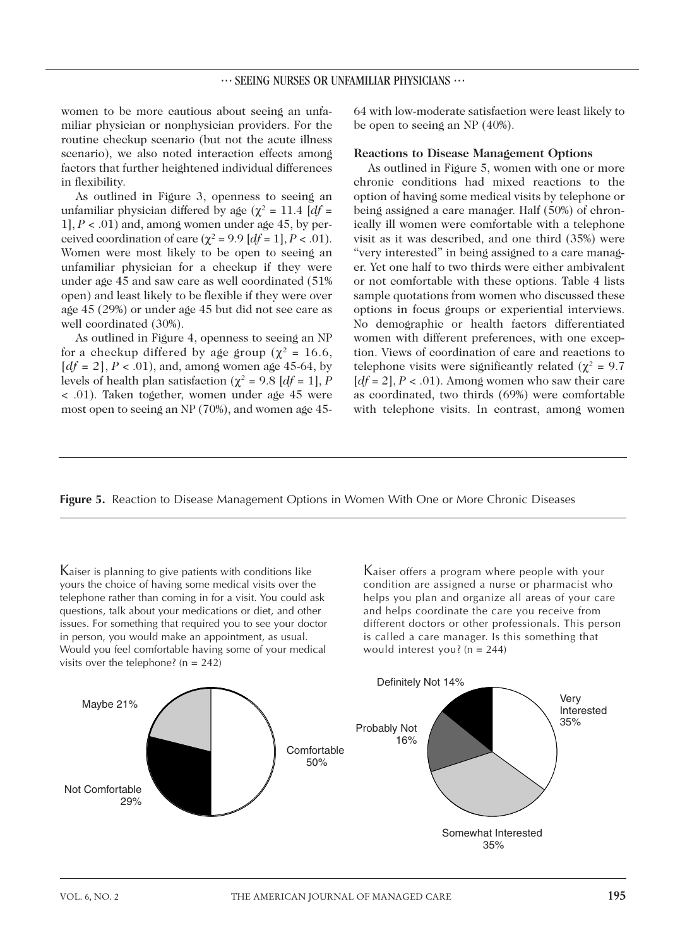women to be more cautious about seeing an unfamiliar physician or nonphysician providers. For the routine checkup scenario (but not the acute illness scenario), we also noted interaction effects among factors that further heightened individual differences in flexibility.

As outlined in Figure 3, openness to seeing an unfamiliar physician differed by age ( $\chi^2$  = 11.4 [*df* = 1],  $P < .01$ ) and, among women under age 45, by perceived coordination of care ( $\chi^2$  = 9.9 [*df* = 1], *P* < .01). Women were most likely to be open to seeing an unfamiliar physician for a checkup if they were under age 45 and saw care as well coordinated (51% open) and least likely to be flexible if they were over age 45 (29%) or under age 45 but did not see care as well coordinated (30%).

As outlined in Figure 4, openness to seeing an NP for a checkup differed by age group ( $\chi^2$  = 16.6,  $[df = 2]$ ,  $P < .01$ ), and, among women age 45-64, by levels of health plan satisfaction ( $χ² = 9.8$  [ $df = 1$ ], *P* < .01). Taken together, women under age 45 were most open to seeing an NP (70%), and women age 4564 with low-moderate satisfaction were least likely to be open to seeing an NP (40%).

#### **Reactions to Disease Management Options**

As outlined in Figure 5, women with one or more chronic conditions had mixed reactions to the option of having some medical visits by telephone or being assigned a care manager. Half (50%) of chronically ill women were comfortable with a telephone visit as it was described, and one third (35%) were "very interested" in being assigned to a care manager. Yet one half to two thirds were either ambivalent or not comfortable with these options. Table 4 lists sample quotations from women who discussed these options in focus groups or experiential interviews. No demographic or health factors differentiated women with different preferences, with one exception. Views of coordination of care and reactions to telephone visits were significantly related ( $\chi^2$  = 9.7  $[df = 2]$ ,  $P < .01$ ). Among women who saw their care as coordinated, two thirds (69%) were comfortable with telephone visits. In contrast, among women

**Figure 5.** Reaction to Disease Management Options in Women With One or More Chronic Diseases

Kaiser is planning to give patients with conditions like yours the choice of having some medical visits over the telephone rather than coming in for a visit. You could ask questions, talk about your medications or diet, and other issues. For something that required you to see your doctor in person, you would make an appointment, as usual. Would you feel comfortable having some of your medical visits over the telephone? ( $n = 242$ )

Kaiser offers a program where people with your condition are assigned a nurse or pharmacist who helps you plan and organize all areas of your care and helps coordinate the care you receive from different doctors or other professionals. This person is called a care manager. Is this something that would interest you? (n = 244)

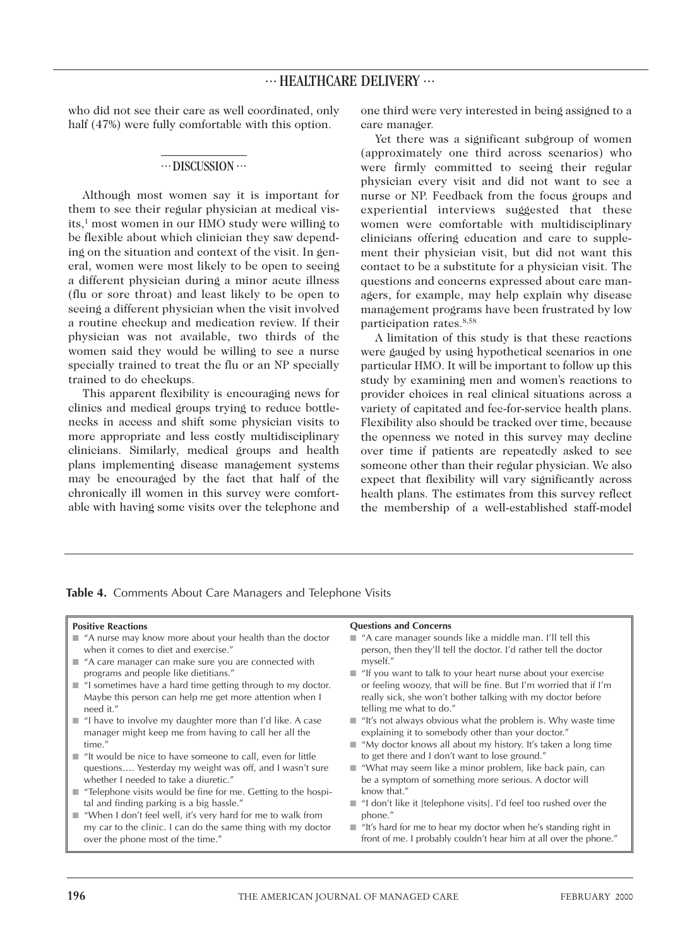who did not see their care as well coordinated, only half (47%) were fully comfortable with this option.

#### $\cdots$  DISCUSSION  $\cdots$

Although most women say it is important for them to see their regular physician at medical visits,<sup>1</sup> most women in our HMO study were willing to be flexible about which clinician they saw depending on the situation and context of the visit. In general, women were most likely to be open to seeing a different physician during a minor acute illness (flu or sore throat) and least likely to be open to seeing a different physician when the visit involved a routine checkup and medication review. If their physician was not available, two thirds of the women said they would be willing to see a nurse specially trained to treat the flu or an NP specially trained to do checkups.

This apparent flexibility is encouraging news for clinics and medical groups trying to reduce bottlenecks in access and shift some physician visits to more appropriate and less costly multidisciplinary clinicians. Similarly, medical groups and health plans implementing disease management systems may be encouraged by the fact that half of the chronically ill women in this survey were comfortable with having some visits over the telephone and one third were very interested in being assigned to a care manager.

Yet there was a significant subgroup of women (approximately one third across scenarios) who were firmly committed to seeing their regular physician every visit and did not want to see a nurse or NP. Feedback from the focus groups and experiential interviews suggested that these women were comfortable with multidisciplinary clinicians offering education and care to supplement their physician visit, but did not want this contact to be a substitute for a physician visit. The questions and concerns expressed about care managers, for example, may help explain why disease management programs have been frustrated by low participation rates.8,58

A limitation of this study is that these reactions were gauged by using hypothetical scenarios in one particular HMO. It will be important to follow up this study by examining men and women's reactions to provider choices in real clinical situations across a variety of capitated and fee-for-service health plans. Flexibility also should be tracked over time, because the openness we noted in this survey may decline over time if patients are repeatedly asked to see someone other than their regular physician. We also expect that flexibility will vary significantly across health plans. The estimates from this survey reflect the membership of a well-established staff-model

| <b>Positive Reactions</b>                                                                                                                                | <b>Questions and Concerns</b>                                                                                                                                                                        |
|----------------------------------------------------------------------------------------------------------------------------------------------------------|------------------------------------------------------------------------------------------------------------------------------------------------------------------------------------------------------|
| "A nurse may know more about your health than the doctor<br>when it comes to diet and exercise."<br>"A care manager can make sure you are connected with | $\blacksquare$ "A care manager sounds like a middle man. I'll tell this<br>person, then they'll tell the doctor. I'd rather tell the doctor<br>myself."                                              |
| programs and people like dietitians."                                                                                                                    | $\blacksquare$ "If you want to talk to your heart nurse about your exercise                                                                                                                          |
| "I sometimes have a hard time getting through to my doctor.<br>Maybe this person can help me get more attention when I<br>need it."                      | or feeling woozy, that will be fine. But I'm worried that if I'm<br>really sick, she won't bother talking with my doctor before<br>telling me what to do."                                           |
| "I have to involve my daughter more than I'd like. A case<br>manager might keep me from having to call her all the<br>time."                             | $\blacksquare$ "It's not always obvious what the problem is. Why waste time<br>explaining it to somebody other than your doctor."<br>■ "My doctor knows all about my history. It's taken a long time |
| "It would be nice to have someone to call, even for little                                                                                               | to get there and I don't want to lose ground."                                                                                                                                                       |
| questions Yesterday my weight was off, and I wasn't sure<br>whether I needed to take a diuretic."                                                        | ■ "What may seem like a minor problem, like back pain, can<br>be a symptom of something more serious. A doctor will                                                                                  |
| "Telephone visits would be fine for me. Getting to the hospi-<br>п                                                                                       | know that."                                                                                                                                                                                          |
| tal and finding parking is a big hassle."<br>"When I don't feel well, it's very hard for me to walk from                                                 | $\blacksquare$ "I don't like it [telephone visits]. I'd feel too rushed over the<br>phone."                                                                                                          |
| my car to the clinic. I can do the same thing with my doctor<br>over the phone most of the time."                                                        | $\blacksquare$ "It's hard for me to hear my doctor when he's standing right in<br>front of me. I probably couldn't hear him at all over the phone."                                                  |

**Table 4.** Comments About Care Managers and Telephone Visits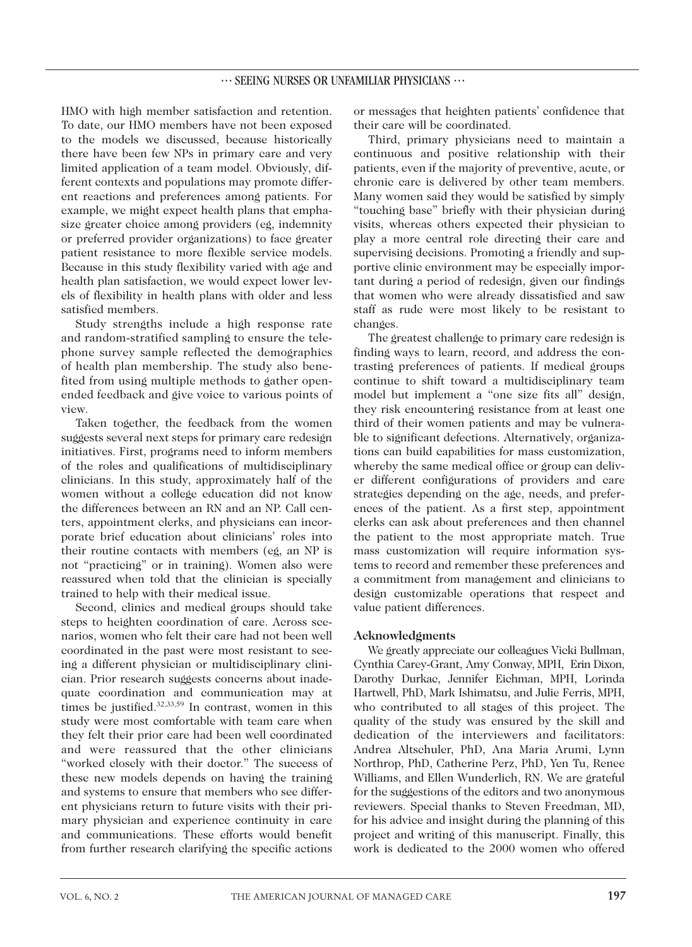HMO with high member satisfaction and retention. To date, our HMO members have not been exposed to the models we discussed, because historically there have been few NPs in primary care and very limited application of a team model. Obviously, different contexts and populations may promote different reactions and preferences among patients. For example, we might expect health plans that emphasize greater choice among providers (eg, indemnity or preferred provider organizations) to face greater patient resistance to more flexible service models. Because in this study flexibility varied with age and health plan satisfaction, we would expect lower levels of flexibility in health plans with older and less satisfied members.

Study strengths include a high response rate and random-stratified sampling to ensure the telephone survey sample reflected the demographics of health plan membership. The study also benefited from using multiple methods to gather openended feedback and give voice to various points of view.

Taken together, the feedback from the women suggests several next steps for primary care redesign initiatives. First, programs need to inform members of the roles and qualifications of multidisciplinary clinicians. In this study, approximately half of the women without a college education did not know the differences between an RN and an NP. Call centers, appointment clerks, and physicians can incorporate brief education about clinicians' roles into their routine contacts with members (eg, an NP is not "practicing" or in training). Women also were reassured when told that the clinician is specially trained to help with their medical issue.

Second, clinics and medical groups should take steps to heighten coordination of care. Across scenarios, women who felt their care had not been well coordinated in the past were most resistant to seeing a different physician or multidisciplinary clinician. Prior research suggests concerns about inadequate coordination and communication may at times be justified.32,33,59 In contrast, women in this study were most comfortable with team care when they felt their prior care had been well coordinated and were reassured that the other clinicians "worked closely with their doctor." The success of these new models depends on having the training and systems to ensure that members who see different physicians return to future visits with their primary physician and experience continuity in care and communications. These efforts would benefit from further research clarifying the specific actions or messages that heighten patients' confidence that their care will be coordinated.

Third, primary physicians need to maintain a continuous and positive relationship with their patients, even if the majority of preventive, acute, or chronic care is delivered by other team members. Many women said they would be satisfied by simply "touching base" briefly with their physician during visits, whereas others expected their physician to play a more central role directing their care and supervising decisions. Promoting a friendly and supportive clinic environment may be especially important during a period of redesign, given our findings that women who were already dissatisfied and saw staff as rude were most likely to be resistant to changes.

The greatest challenge to primary care redesign is finding ways to learn, record, and address the contrasting preferences of patients. If medical groups continue to shift toward a multidisciplinary team model but implement a "one size fits all" design, they risk encountering resistance from at least one third of their women patients and may be vulnerable to significant defections. Alternatively, organizations can build capabilities for mass customization, whereby the same medical office or group can deliver different configurations of providers and care strategies depending on the age, needs, and preferences of the patient. As a first step, appointment clerks can ask about preferences and then channel the patient to the most appropriate match. True mass customization will require information systems to record and remember these preferences and a commitment from management and clinicians to design customizable operations that respect and value patient differences.

#### **Acknowledgments**

We greatly appreciate our colleagues Vicki Bullman, Cynthia Carey-Grant, Amy Conway, MPH, Erin Dixon, Darothy Durkac, Jennifer Eichman, MPH, Lorinda Hartwell, PhD, Mark Ishimatsu, and Julie Ferris, MPH, who contributed to all stages of this project. The quality of the study was ensured by the skill and dedication of the interviewers and facilitators: Andrea Altschuler, PhD, Ana Maria Arumi, Lynn Northrop, PhD, Catherine Perz, PhD, Yen Tu, Renee Williams, and Ellen Wunderlich, RN. We are grateful for the suggestions of the editors and two anonymous reviewers. Special thanks to Steven Freedman, MD, for his advice and insight during the planning of this project and writing of this manuscript. Finally, this work is dedicated to the 2000 women who offered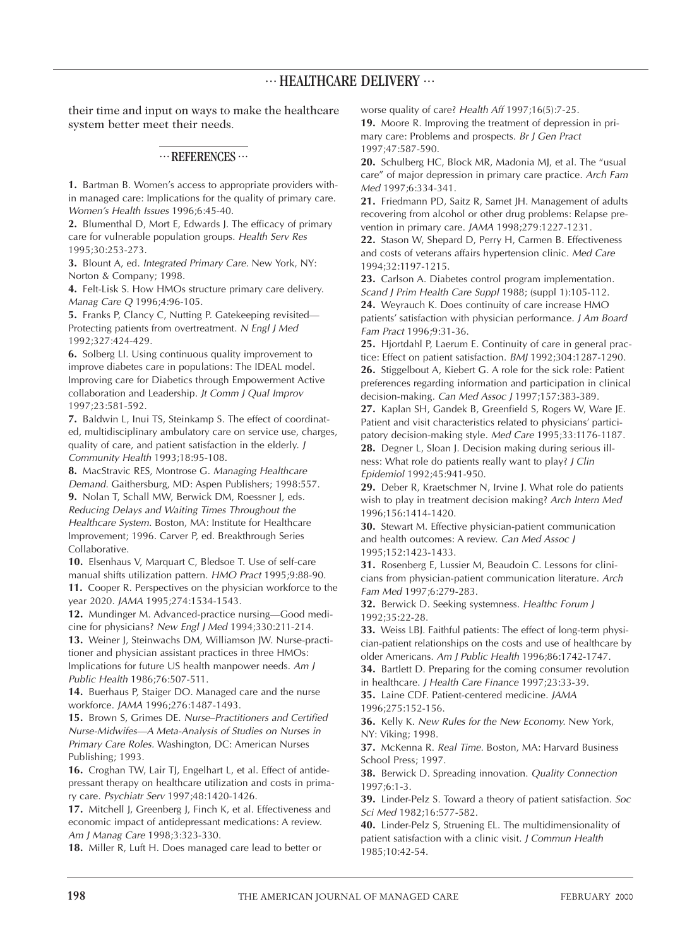their time and input on ways to make the healthcare system better meet their needs.

### $\cdots$  REFERENCES $\cdots$

**1.** Bartman B. Women's access to appropriate providers within managed care: Implications for the quality of primary care. *Women's Health Issues* 1996;6:45-40.

**2.** Blumenthal D, Mort E, Edwards J. The efficacy of primary care for vulnerable population groups. *Health Serv Res* 1995;30:253-273.

**3.** Blount A, ed. *Integrated Primary Care.* New York, NY: Norton & Company; 1998.

**4.** Felt-Lisk S. How HMOs structure primary care delivery. *Manag Care Q* 1996;4:96-105.

**5.** Franks P, Clancy C, Nutting P. Gatekeeping revisited— Protecting patients from overtreatment. *N Engl J Med* 1992;327:424-429.

**6.** Solberg LI. Using continuous quality improvement to improve diabetes care in populations: The IDEAL model. Improving care for Diabetics through Empowerment Active collaboration and Leadership. *Jt Comm J Qual Improv* 1997;23:581-592.

**7.** Baldwin L, Inui TS, Steinkamp S. The effect of coordinated, multidisciplinary ambulatory care on service use, charges, quality of care, and patient satisfaction in the elderly. *J Community Health* 1993;18:95-108.

**8.** MacStravic RES, Montrose G. *Managing Healthcare Demand*. Gaithersburg, MD: Aspen Publishers; 1998:557. **9.** Nolan T, Schall MW, Berwick DM, Roessner J, eds. *Reducing Delays and Waiting Times Throughout the Healthcare System.* Boston, MA: Institute for Healthcare Improvement; 1996. Carver P, ed. Breakthrough Series Collaborative.

**10.** Elsenhaus V, Marquart C, Bledsoe T. Use of self-care manual shifts utilization pattern. *HMO Pract* 1995;9:88-90.

**11.** Cooper R. Perspectives on the physician workforce to the year 2020. *JAMA* 1995;274:1534-1543.

**12.** Mundinger M. Advanced-practice nursing—Good medicine for physicians? *New Engl J Med* 1994;330:211-214.

**13.** Weiner J, Steinwachs DM, Williamson JW. Nurse-practitioner and physician assistant practices in three HMOs: Implications for future US health manpower needs. *Am J Public Health* 1986;76:507-511.

**14.** Buerhaus P, Staiger DO. Managed care and the nurse workforce. *JAMA* 1996;276:1487-1493.

**15.** Brown S, Grimes DE. *Nurse–Practitioners and Certified Nurse-Midwifes—A Meta-Analysis of Studies on Nurses in Primary Care Roles.* Washington, DC: American Nurses Publishing; 1993.

**16.** Croghan TW, Lair TJ, Engelhart L, et al. Effect of antidepressant therapy on healthcare utilization and costs in primary care. *Psychiatr Serv* 1997;48:1420-1426.

**17.** Mitchell J, Greenberg J, Finch K, et al. Effectiveness and economic impact of antidepressant medications: A review. *Am J Manag Care* 1998;3:323-330.

**18.** Miller R, Luft H. Does managed care lead to better or

worse quality of care? *Health Aff* 1997;16(5):7-25.

**19.** Moore R. Improving the treatment of depression in primary care: Problems and prospects. *Br J Gen Pract* 1997;47:587-590.

**20.** Schulberg HC, Block MR, Madonia MJ, et al. The "usual care" of major depression in primary care practice. *Arch Fam Med* 1997;6:334-341.

**21.** Friedmann PD, Saitz R, Samet JH. Management of adults recovering from alcohol or other drug problems: Relapse prevention in primary care. *JAMA* 1998;279:1227-1231.

**22.** Stason W, Shepard D, Perry H, Carmen B. Effectiveness and costs of veterans affairs hypertension clinic. *Med Care* 1994;32:1197-1215.

**23.** Carlson A. Diabetes control program implementation. *Scand J Prim Health Care Suppl* 1988; (suppl 1):105-112.

**24.** Weyrauch K. Does continuity of care increase HMO patients' satisfaction with physician performance. *J Am Board Fam Pract* 1996;9:31-36.

**25.** Hjortdahl P, Laerum E. Continuity of care in general practice: Effect on patient satisfaction. *BMJ* 1992;304:1287-1290. **26.** Stiggelbout A, Kiebert G. A role for the sick role: Patient preferences regarding information and participation in clinical decision-making. *Can Med Assoc J* 1997;157:383-389.

**27.** Kaplan SH, Gandek B, Greenfield S, Rogers W, Ware JE. Patient and visit characteristics related to physicians' participatory decision-making style. *Med Care* 1995;33:1176-1187. **28.** Degner L, Sloan J. Decision making during serious ill-

ness: What role do patients really want to play? *J Clin Epidemiol* 1992;45:941-950.

**29.** Deber R, Kraetschmer N, Irvine J. What role do patients wish to play in treatment decision making? *Arch Intern Med* 1996;156:1414-1420.

**30.** Stewart M. Effective physician-patient communication and health outcomes: A review. *Can Med Assoc J* 1995;152:1423-1433.

**31.** Rosenberg E, Lussier M, Beaudoin C. Lessons for clinicians from physician-patient communication literature. *Arch Fam Med* 1997;6:279-283.

**32.** Berwick D. Seeking systemness. *Healthc Forum J* 1992;35:22-28.

**33.** Weiss LBJ. Faithful patients: The effect of long-term physician-patient relationships on the costs and use of healthcare by older Americans. *Am J Public Health* 1996;86:1742-1747.

**34.** Bartlett D. Preparing for the coming consumer revolution in healthcare. *J Health Care Finance* 1997;23:33-39.

**35.** Laine CDF. Patient-centered medicine. *JAMA* 1996;275:152-156.

**36.** Kelly K. *New Rules for the New Economy.* New York, NY: Viking; 1998.

**37.** McKenna R. *Real Time.* Boston, MA: Harvard Business School Press; 1997.

**38.** Berwick D. Spreading innovation. *Quality Connection* 1997;6:1-3.

**39.** Linder-Pelz S. Toward a theory of patient satisfaction. *Soc Sci Med* 1982;16:577-582.

**40.** Linder-Pelz S, Struening EL. The multidimensionality of patient satisfaction with a clinic visit. *J Commun Health* 1985;10:42-54.